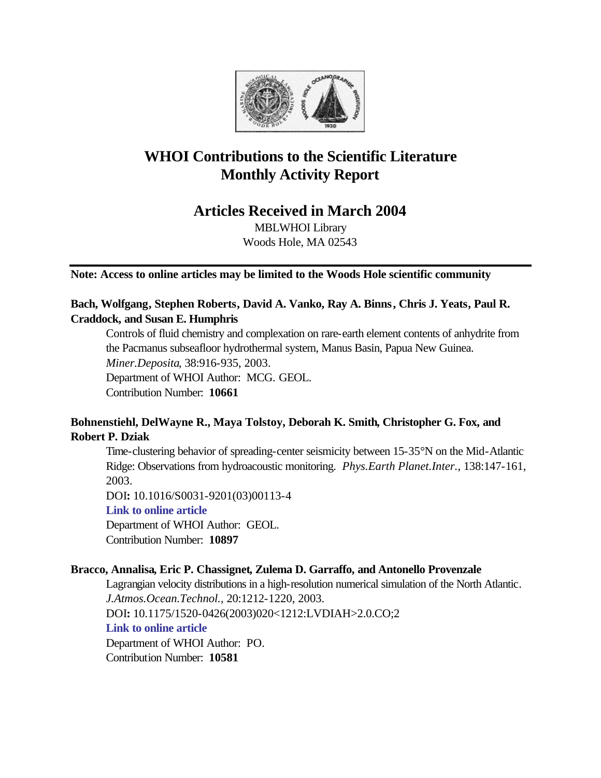

# **WHOI Contributions to the Scientific Literature Monthly Activity Report**

## **Articles Received in March 2004**

MBLWHOI Library Woods Hole, MA 02543

**Note: Access to online articles may be limited to the Woods Hole scientific community**

## **Bach, Wolfgang, Stephen Roberts, David A. Vanko, Ray A. Binns, Chris J. Yeats, Paul R. Craddock, and Susan E. Humphris**

Controls of fluid chemistry and complexation on rare-earth element contents of anhydrite from the Pacmanus subseafloor hydrothermal system, Manus Basin, Papua New Guinea. *Miner.Deposita*, 38:916-935, 2003. Department of WHOI Author: MCG. GEOL.

Contribution Number: **10661**

## **Bohnenstiehl, DelWayne R., Maya Tolstoy, Deborah K. Smith, Christopher G. Fox, and Robert P. Dziak**

Time-clustering behavior of spreading-center seismicity between 15-35°N on the Mid-Atlantic Ridge: Observations from hydroacoustic monitoring. *Phys.Earth Planet.Inter.*, 138:147-161, 2003.

DOI**:** 10.1016/S0031-9201(03)00113-4

**[Link to online article](http://dx.doi.org/10.1016/S0031-9201(03)00113-4)**

Department of WHOI Author: GEOL.

Contribution Number: **10897**

## **Bracco, Annalisa, Eric P. Chassignet, Zulema D. Garraffo, and Antonello Provenzale**

Lagrangian velocity distributions in a high-resolution numerical simulation of the North Atlantic. *J.Atmos.Ocean.Technol.*, 20:1212-1220, 2003. DOI**:** 10.1175/1520-0426(2003)020<1212:LVDIAH>2.0.CO;2 **[Link to online article](http://dx.doi.org/10.1175/1520-0426(2003)020<1212:LVDIAH>2.0.CO;2)** Department of WHOI Author: PO. Contribution Number: **10581**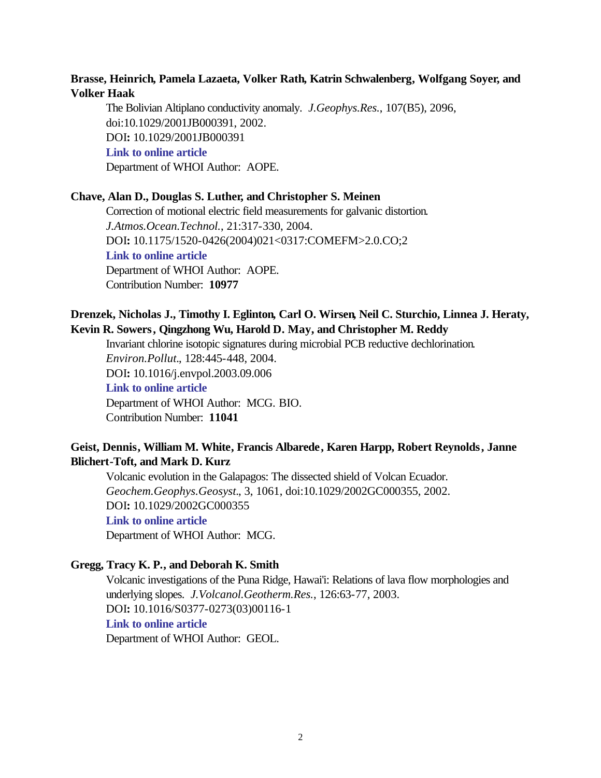## **Brasse, Heinrich, Pamela Lazaeta, Volker Rath, Katrin Schwalenberg, Wolfgang Soyer, and Volker Haak**

The Bolivian Altiplano conductivity anomaly. *J.Geophys.Res.*, 107(B5), 2096, doi:10.1029/2001JB000391, 2002. DOI**:** 10.1029/2001JB000391 **[Link to online article](http://dx.doi.org/10.1029/2001JB000391)** Department of WHOI Author: AOPE.

## **Chave, Alan D., Douglas S. Luther, and Christopher S. Meinen**

Correction of motional electric field measurements for galvanic distortion. *J.Atmos.Ocean.Technol.*, 21:317-330, 2004. DOI**:** 10.1175/1520-0426(2004)021<0317:COMEFM>2.0.CO;2 **[Link to online article](http://dx.doi.org/10.1175/1520-0426(2004)021<0317:COMEFM>2.0.CO;2)** Department of WHOI Author: AOPE. Contribution Number: **10977**

## **Drenzek, Nicholas J., Timothy I. Eglinton, Carl O. Wirsen, Neil C. Sturchio, Linnea J. Heraty, Kevin R. Sowers, Qingzhong Wu, Harold D. May, and Christopher M. Reddy**

Invariant chlorine isotopic signatures during microbial PCB reductive dechlorination. *Environ.Pollut.*, 128:445-448, 2004. DOI**:** 10.1016/j.envpol.2003.09.006 **[Link to online article](http://dx.doi.org/10.1016/j.envpol.2003.09.006)** Department of WHOI Author: MCG. BIO. Contribution Number: **11041**

## **Geist, Dennis, William M. White, Francis Albarede, Karen Harpp, Robert Reynolds, Janne Blichert-Toft, and Mark D. Kurz**

Volcanic evolution in the Galapagos: The dissected shield of Volcan Ecuador. *Geochem.Geophys.Geosyst.*, 3, 1061, doi:10.1029/2002GC000355, 2002. DOI**:** 10.1029/2002GC000355 **[Link to online article](http://dx.doi.org/10.1029/2002GC000355)** Department of WHOI Author: MCG.

#### **Gregg, Tracy K. P., and Deborah K. Smith**

Volcanic investigations of the Puna Ridge, Hawai'i: Relations of lava flow morphologies and underlying slopes. *J.Volcanol.Geotherm.Res.*, 126:63-77, 2003. DOI**:** 10.1016/S0377-0273(03)00116-1 **[Link to online article](http://dx.doi.org/10.1016/S0377-0273(03)00116-1)** Department of WHOI Author: GEOL.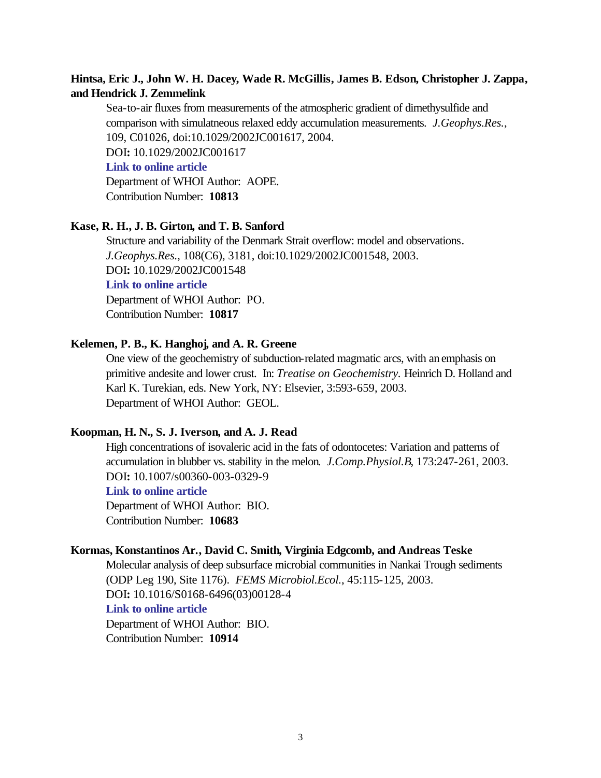## **Hintsa, Eric J., John W. H. Dacey, Wade R. McGillis, James B. Edson, Christopher J. Zappa, and Hendrick J. Zemmelink**

Sea-to-air fluxes from measurements of the atmospheric gradient of dimethysulfide and comparison with simulatneous relaxed eddy accumulation measurements. *J.Geophys.Res.*, 109, C01026, doi:10.1029/2002JC001617, 2004. DOI**:** 10.1029/2002JC001617 **[Link to online article](http://dx.doi.org/10.1029/2002JC001617)** Department of WHOI Author: AOPE. Contribution Number: **10813**

#### **Kase, R. H., J. B. Girton, and T. B. Sanford**

Structure and variability of the Denmark Strait overflow: model and observations. *J.Geophys.Res.*, 108(C6), 3181, doi:10.1029/2002JC001548, 2003. DOI**:** 10.1029/2002JC001548 **[Link to online article](http://dx.doi.org/10.1029/2002JC001548)**

Department of WHOI Author: PO.

Contribution Number: **10817**

#### **Kelemen, P. B., K. Hanghoj, and A. R. Greene**

One view of the geochemistry of subduction-related magmatic arcs, with an emphasis on primitive andesite and lower crust. In: *Treatise on Geochemistry.* Heinrich D. Holland and Karl K. Turekian, eds. New York, NY: Elsevier, 3:593-659, 2003. Department of WHOI Author: GEOL.

#### **Koopman, H. N., S. J. Iverson, and A. J. Read**

High concentrations of isovaleric acid in the fats of odontocetes: Variation and patterns of accumulation in blubber vs. stability in the melon. *J.Comp.Physiol.B*, 173:247-261, 2003. DOI**:** 10.1007/s00360-003-0329-9

## **[Link to online article](http://dx.doi.org/10.1007/s00360-003-0329-9)**

Department of WHOI Author: BIO. Contribution Number: **10683**

#### **Kormas, Konstantinos Ar., David C. Smith, Virginia Edgcomb, and Andreas Teske**

Molecular analysis of deep subsurface microbial communities in Nankai Trough sediments (ODP Leg 190, Site 1176). *FEMS Microbiol.Ecol.*, 45:115-125, 2003. DOI**:** 10.1016/S0168-6496(03)00128-4 **[Link to online article](http://dx.doi.org/10.1016/S0168-6496(03)00128-4)** Department of WHOI Author: BIO.

Contribution Number: **10914**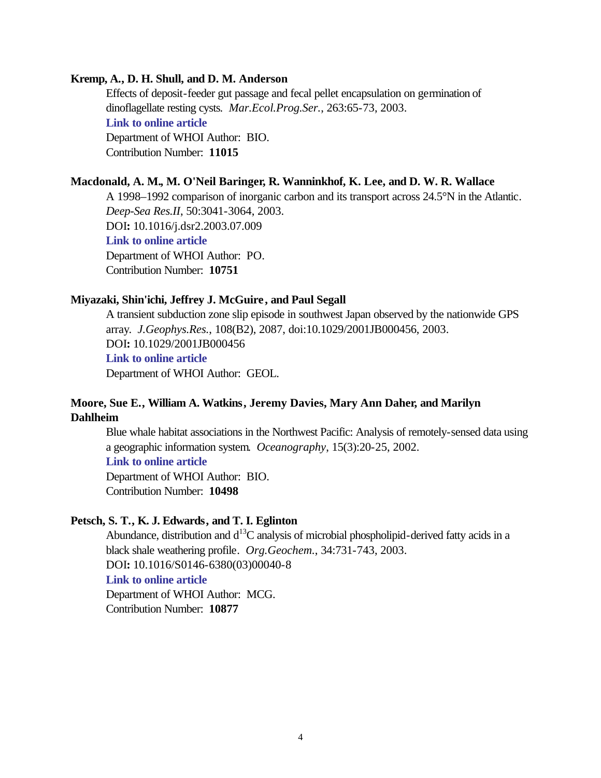#### **Kremp, A., D. H. Shull, and D. M. Anderson**

Effects of deposit-feeder gut passage and fecal pellet encapsulation on germination of dinoflagellate resting cysts. *Mar.Ecol.Prog.Ser.*, 263:65-73, 2003. **[Link to online article](http://www.int-res.com/articles/meps2003/263/m263p065.pdf)** Department of WHOI Author: BIO. Contribution Number: **11015**

#### **Macdonald, A. M., M. O'Neil Baringer, R. Wanninkhof, K. Lee, and D. W. R. Wallace**

A 1998–1992 comparison of inorganic carbon and its transport across 24.5°N in the Atlantic. *Deep-Sea Res.II*, 50:3041-3064, 2003. DOI**:** 10.1016/j.dsr2.2003.07.009 **[Link to online article](http://dx.doi.org/10.1016/j.dsr2.2003.07.009)** Department of WHOI Author: PO. Contribution Number: **10751**

#### **Miyazaki, Shin'ichi, Jeffrey J. McGuire , and Paul Segall**

A transient subduction zone slip episode in southwest Japan observed by the nationwide GPS array. *J.Geophys.Res.*, 108(B2), 2087, doi:10.1029/2001JB000456, 2003. DOI**:** 10.1029/2001JB000456 **[Link to online article](http://dx.doi.org/10.1029/2001JB000456)** Department of WHOI Author: GEOL.

## **Moore, Sue E., William A. Watkins, Jeremy Davies, Mary Ann Daher, and Marilyn Dahlheim**

Blue whale habitat associations in the Northwest Pacific: Analysis of remotely-sensed data using a geographic information system. *Oceanography*, 15(3):20-25, 2002.

## **[Link to online article](http://nmml.afsc.noaa.gov/PDF/72018_OCEAN.PDF)**

Department of WHOI Author: BIO. Contribution Number: **10498**

#### **Petsch, S. T., K. J. Edwards, and T. I. Eglinton**

Abundance, distribution and  $d^{13}C$  analysis of microbial phospholipid-derived fatty acids in a black shale weathering profile. *Org.Geochem.*, 34:731-743, 2003. DOI**:** 10.1016/S0146-6380(03)00040-8 **[Link to online article](http://dx.doi.org/10.1016/S0146-6380(03)00040-8)** Department of WHOI Author: MCG.

Contribution Number: **10877**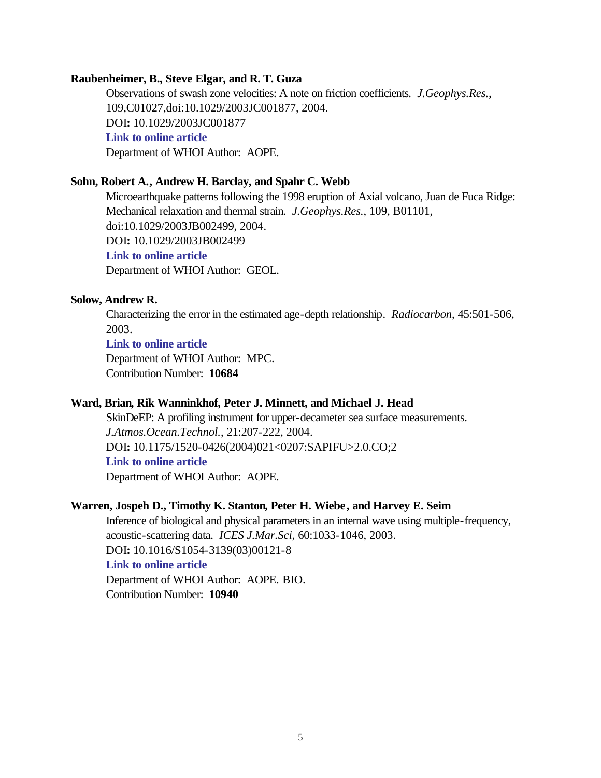#### **Raubenheimer, B., Steve Elgar, and R. T. Guza**

Observations of swash zone velocities: A note on friction coefficients. *J.Geophys.Res.*, 109,C01027,doi:10.1029/2003JC001877, 2004. DOI**:** 10.1029/2003JC001877 **[Link to online article](http://dx.doi.org/10.1029/2003JC001877)** Department of WHOI Author: AOPE.

## **Sohn, Robert A., Andrew H. Barclay, and Spahr C. Webb**

Microearthquake patterns following the 1998 eruption of Axial volcano, Juan de Fuca Ridge: Mechanical relaxation and thermal strain. *J.Geophys.Res.*, 109, B01101, doi:10.1029/2003JB002499, 2004. DOI**:** 10.1029/2003JB002499 **[Link to online article](http://dx.doi.org/10.1029/2003JB002499)** Department of WHOI Author: GEOL.

## **Solow, Andrew R.**

Characterizing the error in the estimated age-depth relationship. *Radiocarbon*, 45:501-506, 2003.

**[Link to online article](http://iris.ingentaselect.com/vl=1152976/cl=13/nw=1/fm=docpdf/rpsv/cw/arizona/00338222/v45n3/s10/p501)**

Department of WHOI Author: MPC. Contribution Number: **10684**

#### **Ward, Brian, Rik Wanninkhof, Peter J. Minnett, and Michael J. Head**

SkinDeEP: A profiling instrument for upper-decameter sea surface measurements. *J.Atmos.Ocean.Technol.*, 21:207-222, 2004. DOI**:** 10.1175/1520-0426(2004)021<0207:SAPIFU>2.0.CO;2 **[Link to online article](http://dx.doi.org/10.1175/1520-0426(2004)021<0207:SAPIFU>2.0.CO;2)** Department of WHOI Author: AOPE.

#### **Warren, Jospeh D., Timothy K. Stanton, Peter H. Wiebe, and Harvey E. Seim**

Inference of biological and physical parameters in an internal wave using multiple-frequency, acoustic-scattering data. *ICES J.Mar.Sci*, 60:1033-1046, 2003. DOI**:** 10.1016/S1054-3139(03)00121-8 **[Link to online article](http://dx.doi.org/10.1016/S1054-3139(03)00121-8)** Department of WHOI Author: AOPE. BIO. Contribution Number: **10940**